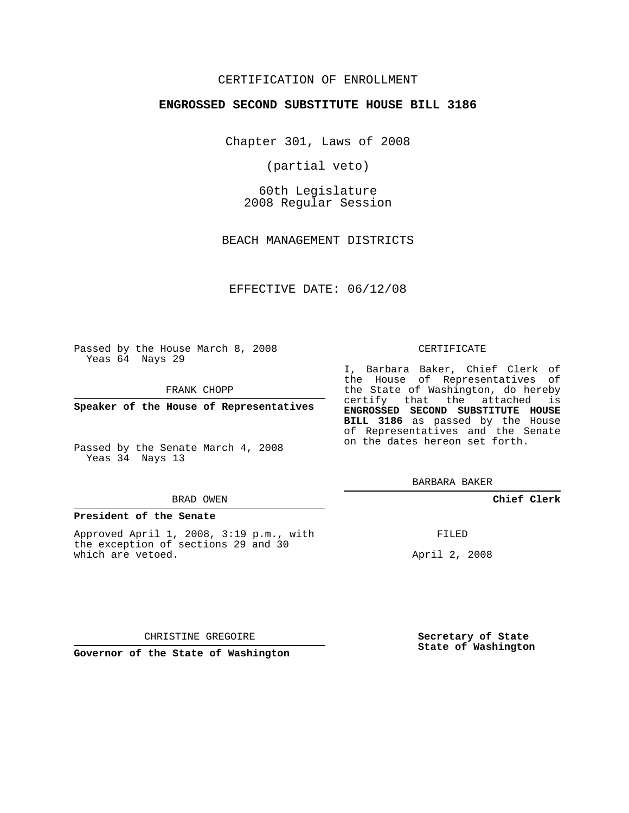## CERTIFICATION OF ENROLLMENT

### **ENGROSSED SECOND SUBSTITUTE HOUSE BILL 3186**

Chapter 301, Laws of 2008

(partial veto)

60th Legislature 2008 Regular Session

BEACH MANAGEMENT DISTRICTS

EFFECTIVE DATE: 06/12/08

Passed by the House March 8, 2008 Yeas 64 Nays 29

FRANK CHOPP

**Speaker of the House of Representatives**

Passed by the Senate March 4, 2008 Yeas 34 Nays 13

#### BRAD OWEN

### **President of the Senate**

Approved April 1, 2008, 3:19 p.m., with the exception of sections 29 and 30 which are vetoed.

#### CERTIFICATE

I, Barbara Baker, Chief Clerk of the House of Representatives of the State of Washington, do hereby certify that the attached is **ENGROSSED SECOND SUBSTITUTE HOUSE BILL 3186** as passed by the House of Representatives and the Senate on the dates hereon set forth.

BARBARA BAKER

**Chief Clerk**

FILED

April 2, 2008

CHRISTINE GREGOIRE

**Governor of the State of Washington**

**Secretary of State State of Washington**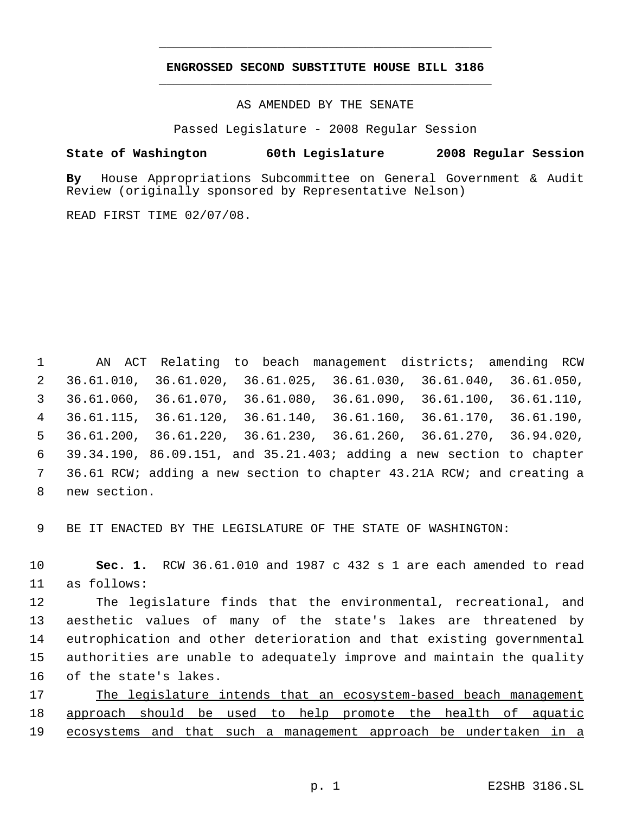# **ENGROSSED SECOND SUBSTITUTE HOUSE BILL 3186** \_\_\_\_\_\_\_\_\_\_\_\_\_\_\_\_\_\_\_\_\_\_\_\_\_\_\_\_\_\_\_\_\_\_\_\_\_\_\_\_\_\_\_\_\_

\_\_\_\_\_\_\_\_\_\_\_\_\_\_\_\_\_\_\_\_\_\_\_\_\_\_\_\_\_\_\_\_\_\_\_\_\_\_\_\_\_\_\_\_\_

AS AMENDED BY THE SENATE

Passed Legislature - 2008 Regular Session

## **State of Washington 60th Legislature 2008 Regular Session**

**By** House Appropriations Subcommittee on General Government & Audit Review (originally sponsored by Representative Nelson)

READ FIRST TIME 02/07/08.

 AN ACT Relating to beach management districts; amending RCW 36.61.010, 36.61.020, 36.61.025, 36.61.030, 36.61.040, 36.61.050, 36.61.060, 36.61.070, 36.61.080, 36.61.090, 36.61.100, 36.61.110, 36.61.115, 36.61.120, 36.61.140, 36.61.160, 36.61.170, 36.61.190, 36.61.200, 36.61.220, 36.61.230, 36.61.260, 36.61.270, 36.94.020, 39.34.190, 86.09.151, and 35.21.403; adding a new section to chapter 36.61 RCW; adding a new section to chapter 43.21A RCW; and creating a new section.

BE IT ENACTED BY THE LEGISLATURE OF THE STATE OF WASHINGTON:

 **Sec. 1.** RCW 36.61.010 and 1987 c 432 s 1 are each amended to read as follows:

 The legislature finds that the environmental, recreational, and aesthetic values of many of the state's lakes are threatened by eutrophication and other deterioration and that existing governmental authorities are unable to adequately improve and maintain the quality of the state's lakes.

 The legislature intends that an ecosystem-based beach management approach should be used to help promote the health of aquatic 19 ecosystems and that such a management approach be undertaken in a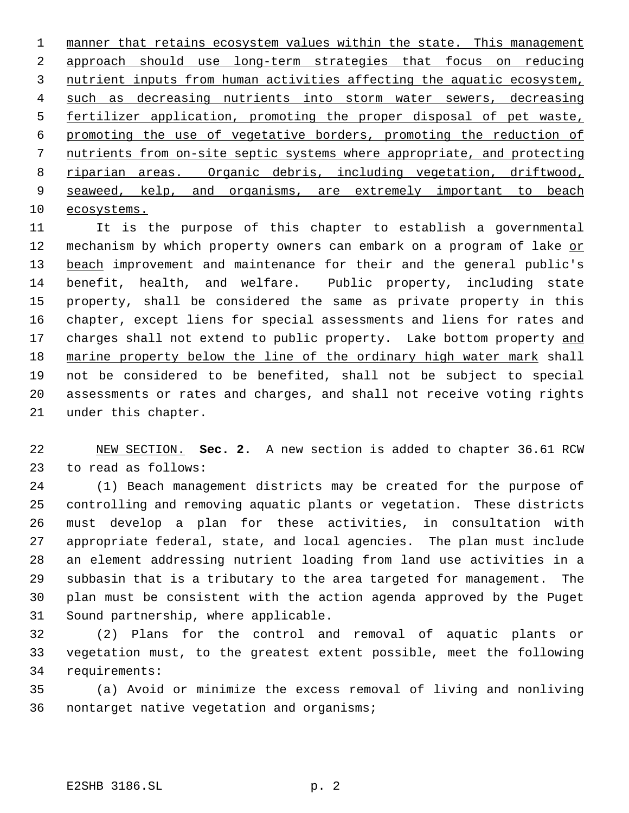1 manner that retains ecosystem values within the state. This management approach should use long-term strategies that focus on reducing nutrient inputs from human activities affecting the aquatic ecosystem, 4 such as decreasing nutrients into storm water sewers, decreasing fertilizer application, promoting the proper disposal of pet waste, promoting the use of vegetative borders, promoting the reduction of nutrients from on-site septic systems where appropriate, and protecting riparian areas. Organic debris, including vegetation, driftwood, 9 seaweed, kelp, and organisms, are extremely important to beach ecosystems.

 It is the purpose of this chapter to establish a governmental 12 mechanism by which property owners can embark on a program of lake or 13 beach improvement and maintenance for their and the general public's benefit, health, and welfare. Public property, including state property, shall be considered the same as private property in this chapter, except liens for special assessments and liens for rates and 17 charges shall not extend to public property. Lake bottom property and 18 marine property below the line of the ordinary high water mark shall not be considered to be benefited, shall not be subject to special assessments or rates and charges, and shall not receive voting rights under this chapter.

 NEW SECTION. **Sec. 2.** A new section is added to chapter 36.61 RCW to read as follows:

 (1) Beach management districts may be created for the purpose of controlling and removing aquatic plants or vegetation. These districts must develop a plan for these activities, in consultation with appropriate federal, state, and local agencies. The plan must include an element addressing nutrient loading from land use activities in a subbasin that is a tributary to the area targeted for management. The plan must be consistent with the action agenda approved by the Puget Sound partnership, where applicable.

 (2) Plans for the control and removal of aquatic plants or vegetation must, to the greatest extent possible, meet the following requirements:

 (a) Avoid or minimize the excess removal of living and nonliving nontarget native vegetation and organisms;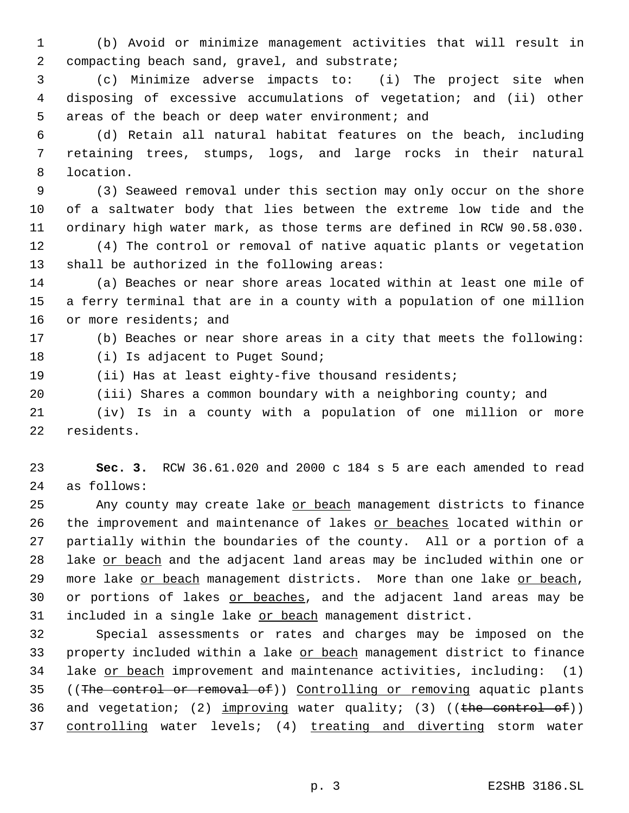(b) Avoid or minimize management activities that will result in compacting beach sand, gravel, and substrate;

 (c) Minimize adverse impacts to: (i) The project site when disposing of excessive accumulations of vegetation; and (ii) other areas of the beach or deep water environment; and

 (d) Retain all natural habitat features on the beach, including retaining trees, stumps, logs, and large rocks in their natural location.

 (3) Seaweed removal under this section may only occur on the shore of a saltwater body that lies between the extreme low tide and the ordinary high water mark, as those terms are defined in RCW 90.58.030.

 (4) The control or removal of native aquatic plants or vegetation shall be authorized in the following areas:

 (a) Beaches or near shore areas located within at least one mile of a ferry terminal that are in a county with a population of one million 16 or more residents; and

# (b) Beaches or near shore areas in a city that meets the following:

18 (i) Is adjacent to Puget Sound;

(ii) Has at least eighty-five thousand residents;

(iii) Shares a common boundary with a neighboring county; and

 (iv) Is in a county with a population of one million or more residents.

 **Sec. 3.** RCW 36.61.020 and 2000 c 184 s 5 are each amended to read as follows:

25 Any county may create lake or beach management districts to finance 26 the improvement and maintenance of lakes or beaches located within or partially within the boundaries of the county. All or a portion of a lake or beach and the adjacent land areas may be included within one or 29 more lake or beach management districts. More than one lake or beach, 30 or portions of lakes or beaches, and the adjacent land areas may be 31 included in a single lake or beach management district.

 Special assessments or rates and charges may be imposed on the 33 property included within a lake or beach management district to finance lake or beach improvement and maintenance activities, including: (1) 35 ((The control or removal of)) Controlling or removing aquatic plants 36 and vegetation; (2)  $\frac{improving}{m}$  water quality; (3) ((the control of)) 37 controlling water levels; (4) treating and diverting storm water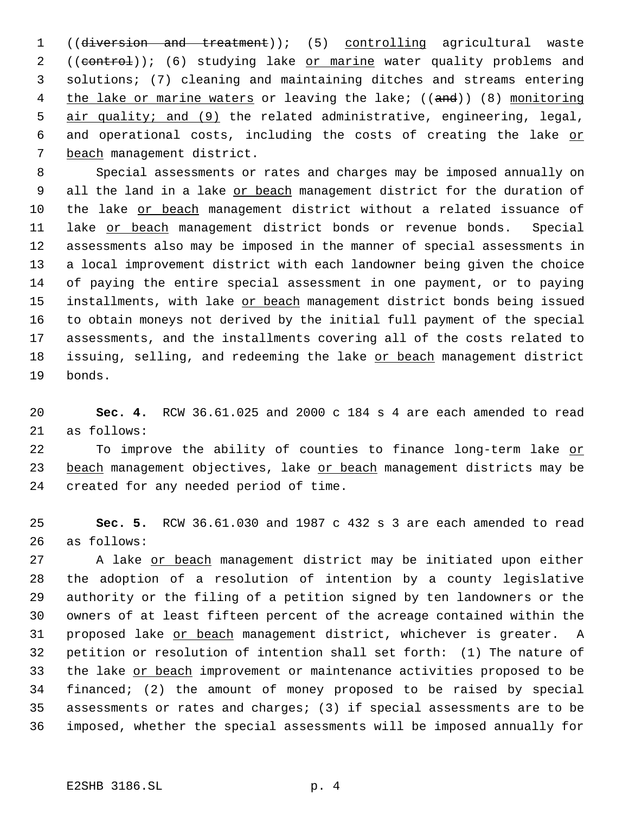1 ((diversion and treatment)); (5) controlling agricultural waste 2 ((control)); (6) studying lake or marine water quality problems and solutions; (7) cleaning and maintaining ditches and streams entering 4 the lake or marine waters or leaving the lake; ((and)) (8) monitoring 5 air quality; and (9) the related administrative, engineering, legal, 6 and operational costs, including the costs of creating the lake or beach management district.

 Special assessments or rates and charges may be imposed annually on 9 all the land in a lake or beach management district for the duration of the lake or beach management district without a related issuance of 11 lake or beach management district bonds or revenue bonds. Special assessments also may be imposed in the manner of special assessments in a local improvement district with each landowner being given the choice of paying the entire special assessment in one payment, or to paying 15 installments, with lake or beach management district bonds being issued to obtain moneys not derived by the initial full payment of the special assessments, and the installments covering all of the costs related to 18 issuing, selling, and redeeming the lake or beach management district bonds.

 **Sec. 4.** RCW 36.61.025 and 2000 c 184 s 4 are each amended to read as follows:

22 To improve the ability of counties to finance long-term lake or 23 beach management objectives, lake or beach management districts may be created for any needed period of time.

 **Sec. 5.** RCW 36.61.030 and 1987 c 432 s 3 are each amended to read as follows:

 A lake or beach management district may be initiated upon either the adoption of a resolution of intention by a county legislative authority or the filing of a petition signed by ten landowners or the owners of at least fifteen percent of the acreage contained within the 31 proposed lake or beach management district, whichever is greater. A petition or resolution of intention shall set forth: (1) The nature of 33 the lake or beach improvement or maintenance activities proposed to be financed; (2) the amount of money proposed to be raised by special assessments or rates and charges; (3) if special assessments are to be imposed, whether the special assessments will be imposed annually for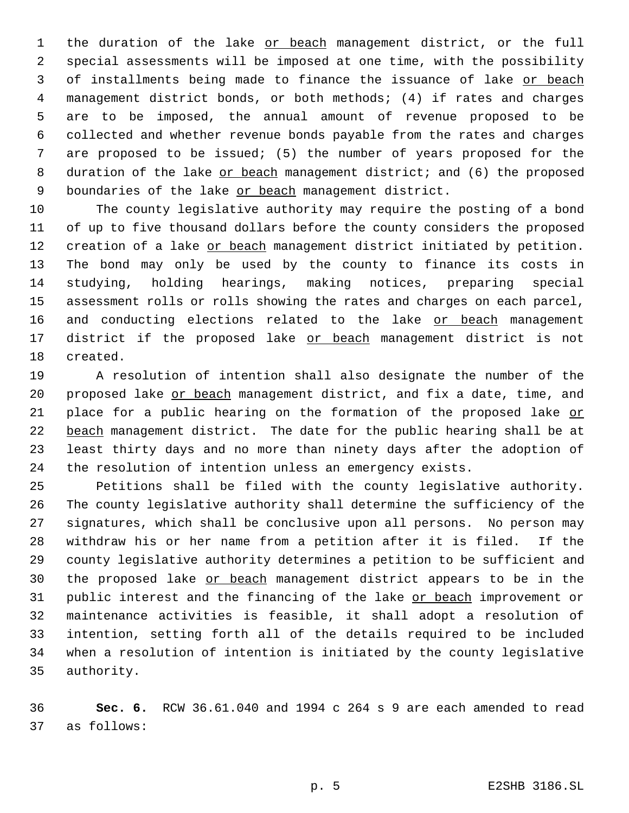1 the duration of the lake or beach management district, or the full special assessments will be imposed at one time, with the possibility of installments being made to finance the issuance of lake or beach management district bonds, or both methods; (4) if rates and charges are to be imposed, the annual amount of revenue proposed to be collected and whether revenue bonds payable from the rates and charges are proposed to be issued; (5) the number of years proposed for the 8 duration of the lake or beach management district; and (6) the proposed 9 boundaries of the lake or beach management district.

 The county legislative authority may require the posting of a bond of up to five thousand dollars before the county considers the proposed 12 creation of a lake or beach management district initiated by petition. The bond may only be used by the county to finance its costs in studying, holding hearings, making notices, preparing special assessment rolls or rolls showing the rates and charges on each parcel, 16 and conducting elections related to the lake or beach management 17 district if the proposed lake or beach management district is not created.

 A resolution of intention shall also designate the number of the 20 proposed lake or beach management district, and fix a date, time, and 21 place for a public hearing on the formation of the proposed lake or 22 beach management district. The date for the public hearing shall be at least thirty days and no more than ninety days after the adoption of the resolution of intention unless an emergency exists.

 Petitions shall be filed with the county legislative authority. The county legislative authority shall determine the sufficiency of the signatures, which shall be conclusive upon all persons. No person may withdraw his or her name from a petition after it is filed. If the county legislative authority determines a petition to be sufficient and the proposed lake or beach management district appears to be in the 31 public interest and the financing of the lake or beach improvement or maintenance activities is feasible, it shall adopt a resolution of intention, setting forth all of the details required to be included when a resolution of intention is initiated by the county legislative authority.

 **Sec. 6.** RCW 36.61.040 and 1994 c 264 s 9 are each amended to read as follows: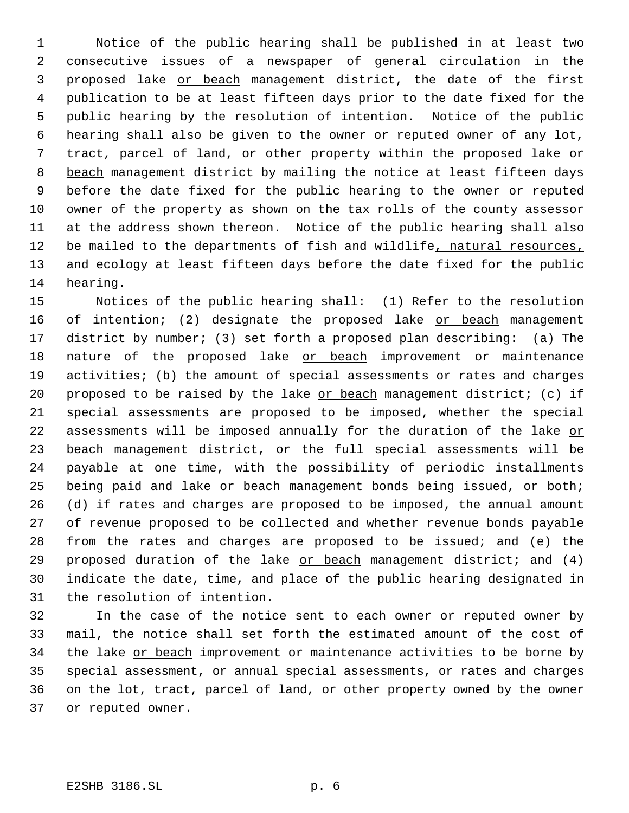Notice of the public hearing shall be published in at least two consecutive issues of a newspaper of general circulation in the proposed lake or beach management district, the date of the first publication to be at least fifteen days prior to the date fixed for the public hearing by the resolution of intention. Notice of the public hearing shall also be given to the owner or reputed owner of any lot, tract, parcel of land, or other property within the proposed lake or 8 beach management district by mailing the notice at least fifteen days before the date fixed for the public hearing to the owner or reputed owner of the property as shown on the tax rolls of the county assessor at the address shown thereon. Notice of the public hearing shall also 12 be mailed to the departments of fish and wildlife, natural resources, and ecology at least fifteen days before the date fixed for the public hearing.

 Notices of the public hearing shall: (1) Refer to the resolution 16 of intention; (2) designate the proposed lake or beach management district by number; (3) set forth a proposed plan describing: (a) The 18 nature of the proposed lake or beach improvement or maintenance activities; (b) the amount of special assessments or rates and charges 20 proposed to be raised by the lake  $or beach management distinct; (c) if$ </u> special assessments are proposed to be imposed, whether the special 22 assessments will be imposed annually for the duration of the lake or 23 beach management district, or the full special assessments will be payable at one time, with the possibility of periodic installments 25 being paid and lake or beach management bonds being issued, or both; (d) if rates and charges are proposed to be imposed, the annual amount of revenue proposed to be collected and whether revenue bonds payable from the rates and charges are proposed to be issued; and (e) the 29 proposed duration of the lake or beach management district; and (4) indicate the date, time, and place of the public hearing designated in the resolution of intention.

 In the case of the notice sent to each owner or reputed owner by mail, the notice shall set forth the estimated amount of the cost of 34 the lake or beach improvement or maintenance activities to be borne by special assessment, or annual special assessments, or rates and charges on the lot, tract, parcel of land, or other property owned by the owner or reputed owner.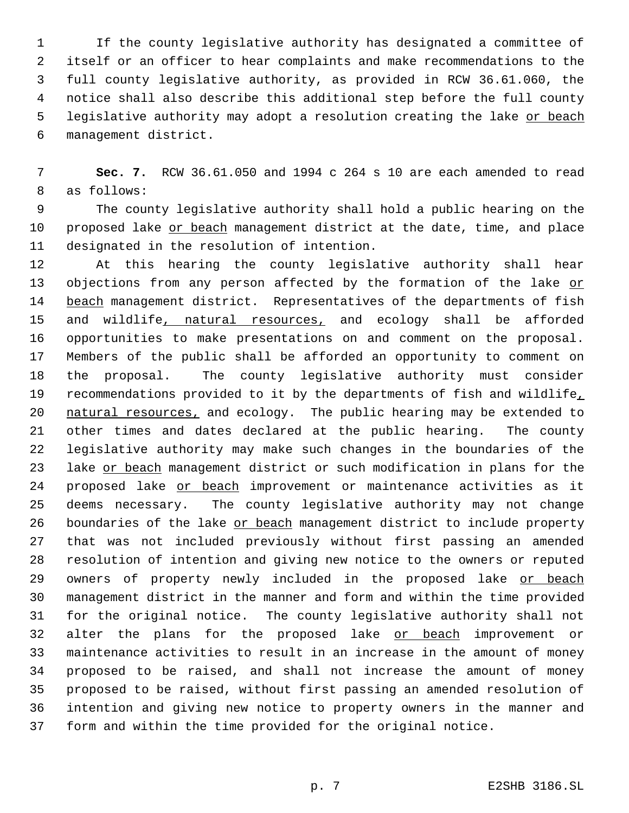If the county legislative authority has designated a committee of itself or an officer to hear complaints and make recommendations to the full county legislative authority, as provided in RCW 36.61.060, the notice shall also describe this additional step before the full county 5 legislative authority may adopt a resolution creating the lake or beach management district.

 **Sec. 7.** RCW 36.61.050 and 1994 c 264 s 10 are each amended to read as follows:

 The county legislative authority shall hold a public hearing on the proposed lake or beach management district at the date, time, and place designated in the resolution of intention.

 At this hearing the county legislative authority shall hear 13 objections from any person affected by the formation of the lake or 14 beach management district. Representatives of the departments of fish 15 and wildlife, natural resources, and ecology shall be afforded opportunities to make presentations on and comment on the proposal. Members of the public shall be afforded an opportunity to comment on the proposal. The county legislative authority must consider 19 recommendations provided to it by the departments of fish and wildlife, 20 natural resources, and ecology. The public hearing may be extended to other times and dates declared at the public hearing. The county legislative authority may make such changes in the boundaries of the 23 lake or beach management district or such modification in plans for the 24 proposed lake or beach improvement or maintenance activities as it deems necessary. The county legislative authority may not change 26 boundaries of the lake or beach management district to include property that was not included previously without first passing an amended resolution of intention and giving new notice to the owners or reputed 29 owners of property newly included in the proposed lake or beach management district in the manner and form and within the time provided for the original notice. The county legislative authority shall not 32 alter the plans for the proposed lake or beach improvement or maintenance activities to result in an increase in the amount of money proposed to be raised, and shall not increase the amount of money proposed to be raised, without first passing an amended resolution of intention and giving new notice to property owners in the manner and form and within the time provided for the original notice.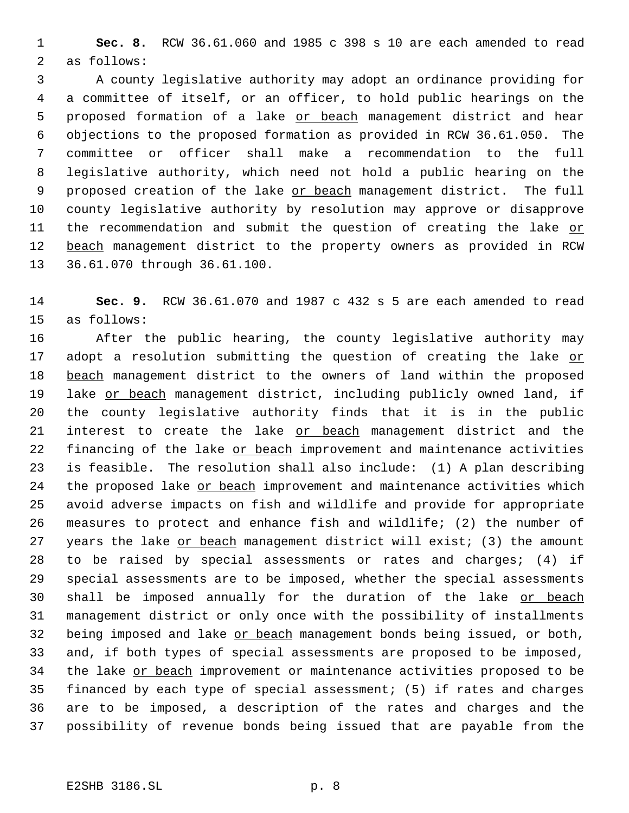**Sec. 8.** RCW 36.61.060 and 1985 c 398 s 10 are each amended to read as follows:

 A county legislative authority may adopt an ordinance providing for a committee of itself, or an officer, to hold public hearings on the 5 proposed formation of a lake or beach management district and hear objections to the proposed formation as provided in RCW 36.61.050. The committee or officer shall make a recommendation to the full legislative authority, which need not hold a public hearing on the 9 proposed creation of the lake or beach management district. The full county legislative authority by resolution may approve or disapprove 11 the recommendation and submit the question of creating the lake or beach management district to the property owners as provided in RCW 36.61.070 through 36.61.100.

 **Sec. 9.** RCW 36.61.070 and 1987 c 432 s 5 are each amended to read as follows:

 After the public hearing, the county legislative authority may 17 adopt a resolution submitting the question of creating the lake or 18 beach management district to the owners of land within the proposed 19 lake or beach management district, including publicly owned land, if the county legislative authority finds that it is in the public 21 interest to create the lake or beach management district and the 22 financing of the lake or beach improvement and maintenance activities is feasible. The resolution shall also include: (1) A plan describing 24 the proposed lake or beach improvement and maintenance activities which avoid adverse impacts on fish and wildlife and provide for appropriate measures to protect and enhance fish and wildlife; (2) the number of 27 years the lake or beach management district will exist; (3) the amount to be raised by special assessments or rates and charges; (4) if special assessments are to be imposed, whether the special assessments 30 shall be imposed annually for the duration of the lake or beach management district or only once with the possibility of installments 32 being imposed and lake or beach management bonds being issued, or both, and, if both types of special assessments are proposed to be imposed, 34 the lake or beach improvement or maintenance activities proposed to be financed by each type of special assessment; (5) if rates and charges are to be imposed, a description of the rates and charges and the possibility of revenue bonds being issued that are payable from the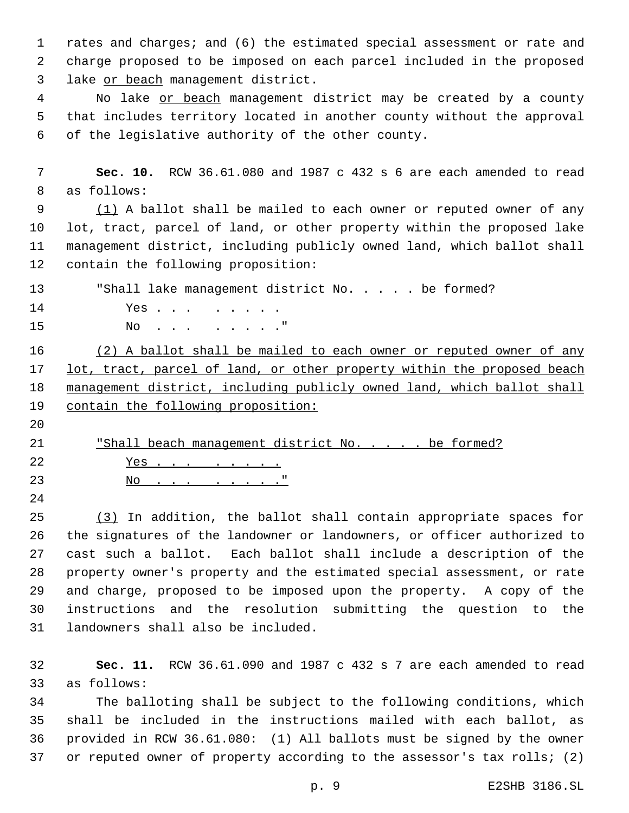rates and charges; and (6) the estimated special assessment or rate and charge proposed to be imposed on each parcel included in the proposed lake or beach management district.

4 No lake or beach management district may be created by a county that includes territory located in another county without the approval of the legislative authority of the other county.

 **Sec. 10.** RCW 36.61.080 and 1987 c 432 s 6 are each amended to read as follows:

 (1) A ballot shall be mailed to each owner or reputed owner of any lot, tract, parcel of land, or other property within the proposed lake management district, including publicly owned land, which ballot shall contain the following proposition:

13 Thall lake management district No. . . . . be formed? 14 Yes . . . . . . . . 15 No. . . . . . . . "

16 (2) A ballot shall be mailed to each owner or reputed owner of any 17 lot, tract, parcel of land, or other property within the proposed beach management district, including publicly owned land, which ballot shall 19 contain the following proposition:

21 "Shall beach management district No. . . . . be formed? Yes . . . . . . . . 23 No. . . . . . .

 (3) In addition, the ballot shall contain appropriate spaces for the signatures of the landowner or landowners, or officer authorized to cast such a ballot. Each ballot shall include a description of the property owner's property and the estimated special assessment, or rate and charge, proposed to be imposed upon the property. A copy of the instructions and the resolution submitting the question to the landowners shall also be included.

 **Sec. 11.** RCW 36.61.090 and 1987 c 432 s 7 are each amended to read as follows:

 The balloting shall be subject to the following conditions, which shall be included in the instructions mailed with each ballot, as provided in RCW 36.61.080: (1) All ballots must be signed by the owner 37 or reputed owner of property according to the assessor's tax rolls; (2)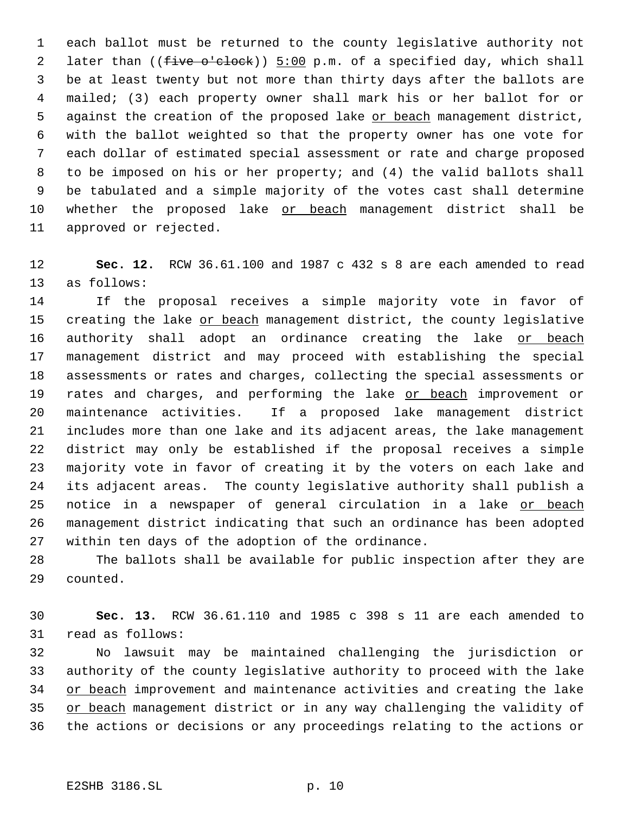each ballot must be returned to the county legislative authority not 2 later than ((five o'clock)) 5:00 p.m. of a specified day, which shall be at least twenty but not more than thirty days after the ballots are mailed; (3) each property owner shall mark his or her ballot for or 5 against the creation of the proposed lake or beach management district, with the ballot weighted so that the property owner has one vote for each dollar of estimated special assessment or rate and charge proposed to be imposed on his or her property; and (4) the valid ballots shall be tabulated and a simple majority of the votes cast shall determine whether the proposed lake or beach management district shall be approved or rejected.

 **Sec. 12.** RCW 36.61.100 and 1987 c 432 s 8 are each amended to read as follows:

 If the proposal receives a simple majority vote in favor of 15 creating the lake or beach management district, the county legislative 16 authority shall adopt an ordinance creating the lake or beach management district and may proceed with establishing the special assessments or rates and charges, collecting the special assessments or 19 rates and charges, and performing the lake or beach improvement or maintenance activities. If a proposed lake management district includes more than one lake and its adjacent areas, the lake management district may only be established if the proposal receives a simple majority vote in favor of creating it by the voters on each lake and its adjacent areas. The county legislative authority shall publish a 25 notice in a newspaper of general circulation in a lake or beach management district indicating that such an ordinance has been adopted within ten days of the adoption of the ordinance.

 The ballots shall be available for public inspection after they are counted.

 **Sec. 13.** RCW 36.61.110 and 1985 c 398 s 11 are each amended to read as follows:

 No lawsuit may be maintained challenging the jurisdiction or authority of the county legislative authority to proceed with the lake or beach improvement and maintenance activities and creating the lake 35 or beach management district or in any way challenging the validity of the actions or decisions or any proceedings relating to the actions or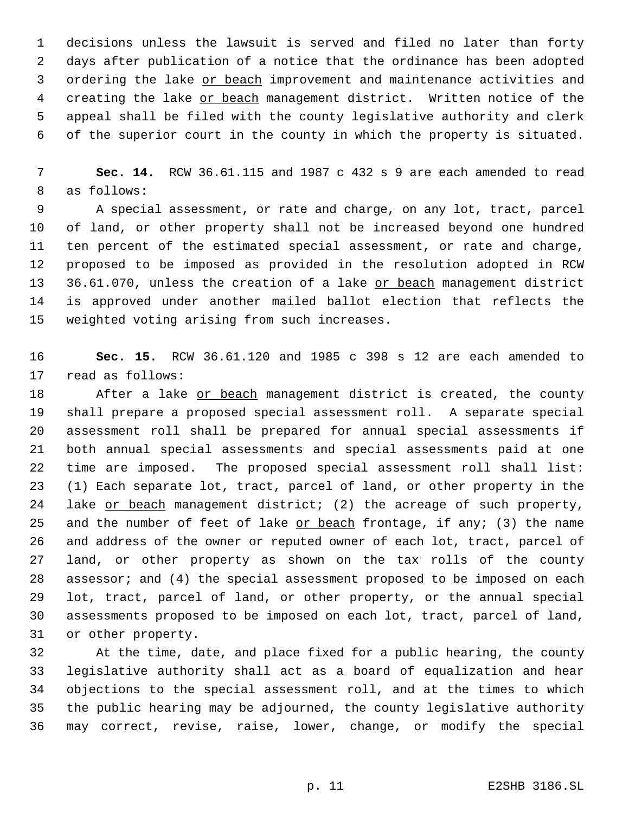decisions unless the lawsuit is served and filed no later than forty days after publication of a notice that the ordinance has been adopted ordering the lake or beach improvement and maintenance activities and 4 creating the lake or beach management district. Written notice of the appeal shall be filed with the county legislative authority and clerk of the superior court in the county in which the property is situated.

 **Sec. 14.** RCW 36.61.115 and 1987 c 432 s 9 are each amended to read as follows:

 A special assessment, or rate and charge, on any lot, tract, parcel of land, or other property shall not be increased beyond one hundred ten percent of the estimated special assessment, or rate and charge, proposed to be imposed as provided in the resolution adopted in RCW 36.61.070, unless the creation of a lake or beach management district is approved under another mailed ballot election that reflects the weighted voting arising from such increases.

 **Sec. 15.** RCW 36.61.120 and 1985 c 398 s 12 are each amended to read as follows:

18 After a lake or beach management district is created, the county shall prepare a proposed special assessment roll. A separate special assessment roll shall be prepared for annual special assessments if both annual special assessments and special assessments paid at one time are imposed. The proposed special assessment roll shall list: (1) Each separate lot, tract, parcel of land, or other property in the 24 lake or beach management district; (2) the acreage of such property, 25 and the number of feet of lake  $or beach frontage, if any  $i$  (3) the name$ </u> and address of the owner or reputed owner of each lot, tract, parcel of land, or other property as shown on the tax rolls of the county assessor; and (4) the special assessment proposed to be imposed on each lot, tract, parcel of land, or other property, or the annual special assessments proposed to be imposed on each lot, tract, parcel of land, or other property.

 At the time, date, and place fixed for a public hearing, the county legislative authority shall act as a board of equalization and hear objections to the special assessment roll, and at the times to which the public hearing may be adjourned, the county legislative authority may correct, revise, raise, lower, change, or modify the special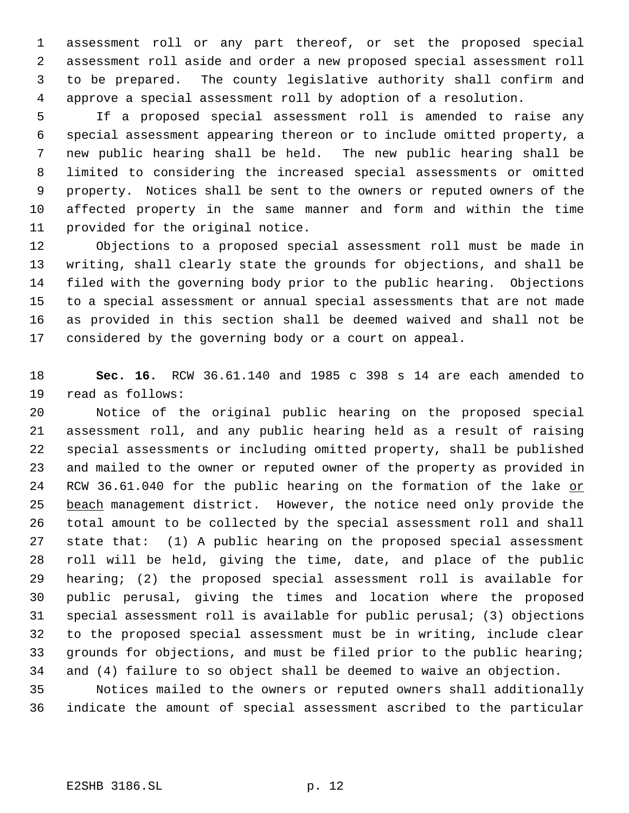assessment roll or any part thereof, or set the proposed special assessment roll aside and order a new proposed special assessment roll to be prepared. The county legislative authority shall confirm and approve a special assessment roll by adoption of a resolution.

 If a proposed special assessment roll is amended to raise any special assessment appearing thereon or to include omitted property, a new public hearing shall be held. The new public hearing shall be limited to considering the increased special assessments or omitted property. Notices shall be sent to the owners or reputed owners of the affected property in the same manner and form and within the time provided for the original notice.

 Objections to a proposed special assessment roll must be made in writing, shall clearly state the grounds for objections, and shall be filed with the governing body prior to the public hearing. Objections to a special assessment or annual special assessments that are not made as provided in this section shall be deemed waived and shall not be considered by the governing body or a court on appeal.

 **Sec. 16.** RCW 36.61.140 and 1985 c 398 s 14 are each amended to read as follows:

 Notice of the original public hearing on the proposed special assessment roll, and any public hearing held as a result of raising special assessments or including omitted property, shall be published and mailed to the owner or reputed owner of the property as provided in 24 RCW 36.61.040 for the public hearing on the formation of the lake or 25 beach management district. However, the notice need only provide the total amount to be collected by the special assessment roll and shall state that: (1) A public hearing on the proposed special assessment roll will be held, giving the time, date, and place of the public hearing; (2) the proposed special assessment roll is available for public perusal, giving the times and location where the proposed special assessment roll is available for public perusal; (3) objections to the proposed special assessment must be in writing, include clear grounds for objections, and must be filed prior to the public hearing; and (4) failure to so object shall be deemed to waive an objection.

 Notices mailed to the owners or reputed owners shall additionally indicate the amount of special assessment ascribed to the particular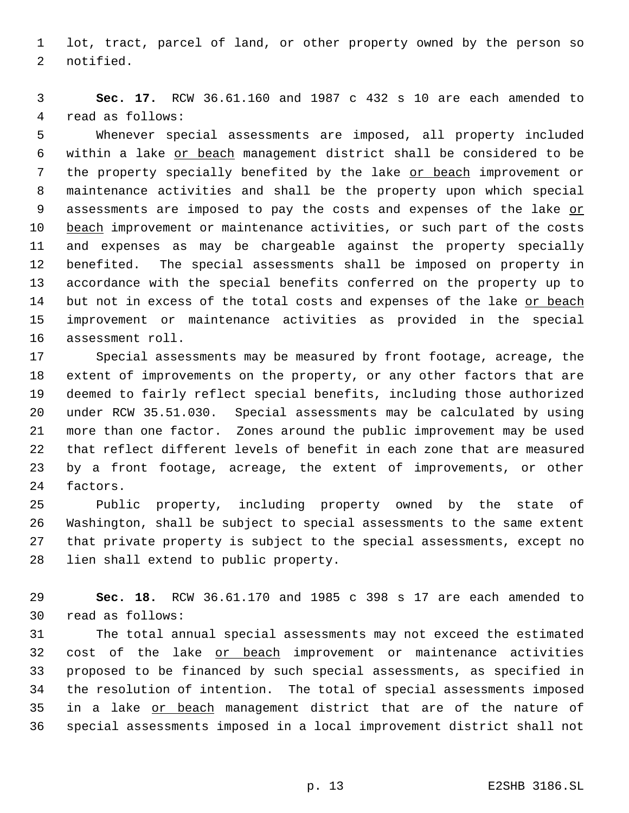lot, tract, parcel of land, or other property owned by the person so notified.

 **Sec. 17.** RCW 36.61.160 and 1987 c 432 s 10 are each amended to read as follows:

 Whenever special assessments are imposed, all property included within a lake or beach management district shall be considered to be 7 the property specially benefited by the lake or beach improvement or maintenance activities and shall be the property upon which special 9 assessments are imposed to pay the costs and expenses of the lake or 10 beach improvement or maintenance activities, or such part of the costs and expenses as may be chargeable against the property specially benefited. The special assessments shall be imposed on property in accordance with the special benefits conferred on the property up to 14 but not in excess of the total costs and expenses of the lake or beach improvement or maintenance activities as provided in the special assessment roll.

 Special assessments may be measured by front footage, acreage, the extent of improvements on the property, or any other factors that are deemed to fairly reflect special benefits, including those authorized under RCW 35.51.030. Special assessments may be calculated by using more than one factor. Zones around the public improvement may be used that reflect different levels of benefit in each zone that are measured by a front footage, acreage, the extent of improvements, or other factors.

 Public property, including property owned by the state of Washington, shall be subject to special assessments to the same extent that private property is subject to the special assessments, except no lien shall extend to public property.

 **Sec. 18.** RCW 36.61.170 and 1985 c 398 s 17 are each amended to read as follows:

 The total annual special assessments may not exceed the estimated 32 cost of the lake or beach improvement or maintenance activities proposed to be financed by such special assessments, as specified in the resolution of intention. The total of special assessments imposed 35 in a lake or beach management district that are of the nature of special assessments imposed in a local improvement district shall not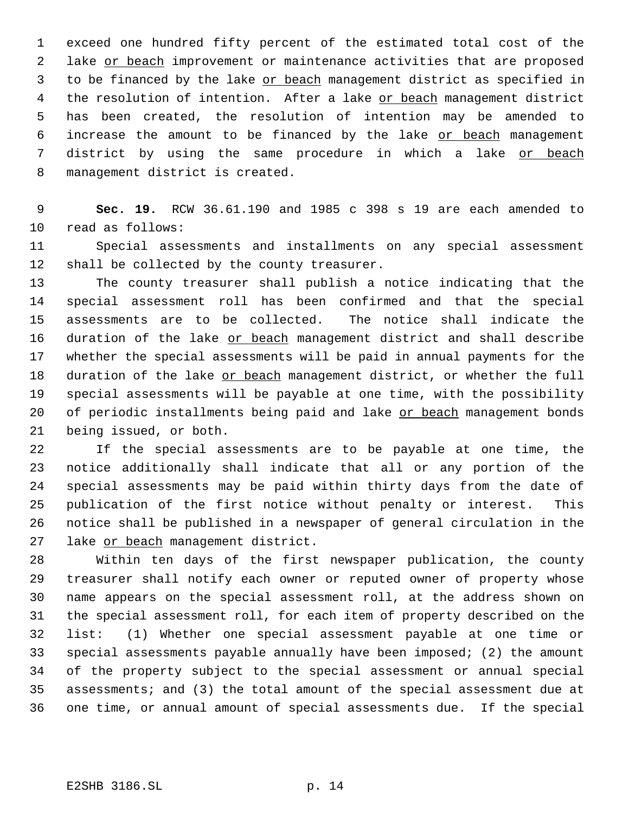exceed one hundred fifty percent of the estimated total cost of the 2 lake or beach improvement or maintenance activities that are proposed 3 to be financed by the lake or beach management district as specified in 4 the resolution of intention. After a lake or beach management district has been created, the resolution of intention may be amended to 6 increase the amount to be financed by the lake or beach management district by using the same procedure in which a lake or beach management district is created.

 **Sec. 19.** RCW 36.61.190 and 1985 c 398 s 19 are each amended to read as follows:

 Special assessments and installments on any special assessment shall be collected by the county treasurer.

 The county treasurer shall publish a notice indicating that the special assessment roll has been confirmed and that the special assessments are to be collected. The notice shall indicate the 16 duration of the lake or beach management district and shall describe whether the special assessments will be paid in annual payments for the 18 duration of the lake or beach management district, or whether the full special assessments will be payable at one time, with the possibility 20 of periodic installments being paid and lake or beach management bonds being issued, or both.

 If the special assessments are to be payable at one time, the notice additionally shall indicate that all or any portion of the special assessments may be paid within thirty days from the date of publication of the first notice without penalty or interest. This notice shall be published in a newspaper of general circulation in the 27 lake or beach management district.

 Within ten days of the first newspaper publication, the county treasurer shall notify each owner or reputed owner of property whose name appears on the special assessment roll, at the address shown on the special assessment roll, for each item of property described on the list: (1) Whether one special assessment payable at one time or special assessments payable annually have been imposed; (2) the amount of the property subject to the special assessment or annual special assessments; and (3) the total amount of the special assessment due at one time, or annual amount of special assessments due. If the special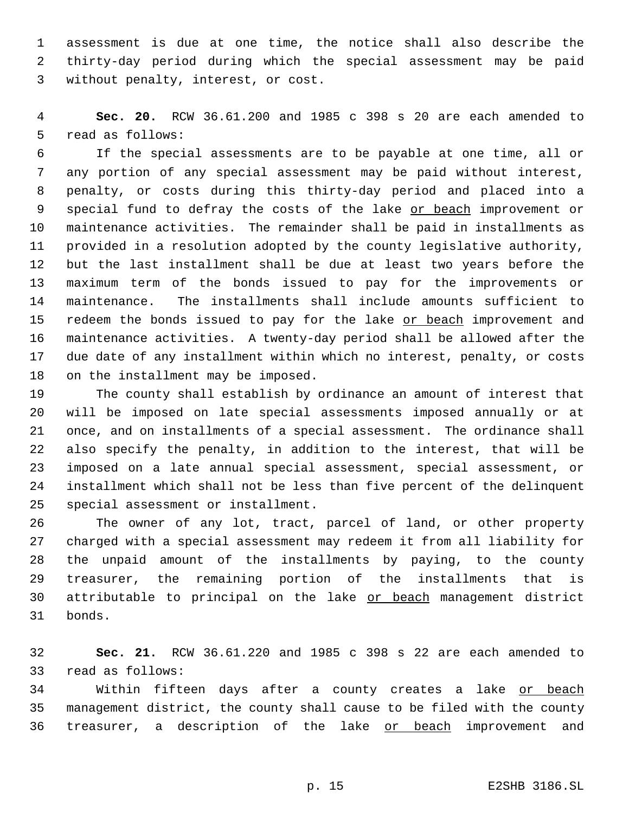assessment is due at one time, the notice shall also describe the thirty-day period during which the special assessment may be paid without penalty, interest, or cost.

 **Sec. 20.** RCW 36.61.200 and 1985 c 398 s 20 are each amended to read as follows:

 If the special assessments are to be payable at one time, all or any portion of any special assessment may be paid without interest, penalty, or costs during this thirty-day period and placed into a 9 special fund to defray the costs of the lake or beach improvement or maintenance activities. The remainder shall be paid in installments as provided in a resolution adopted by the county legislative authority, but the last installment shall be due at least two years before the maximum term of the bonds issued to pay for the improvements or maintenance. The installments shall include amounts sufficient to 15 redeem the bonds issued to pay for the lake or beach improvement and maintenance activities. A twenty-day period shall be allowed after the due date of any installment within which no interest, penalty, or costs on the installment may be imposed.

 The county shall establish by ordinance an amount of interest that will be imposed on late special assessments imposed annually or at once, and on installments of a special assessment. The ordinance shall also specify the penalty, in addition to the interest, that will be imposed on a late annual special assessment, special assessment, or installment which shall not be less than five percent of the delinquent special assessment or installment.

 The owner of any lot, tract, parcel of land, or other property charged with a special assessment may redeem it from all liability for the unpaid amount of the installments by paying, to the county treasurer, the remaining portion of the installments that is 30 attributable to principal on the lake or beach management district bonds.

 **Sec. 21.** RCW 36.61.220 and 1985 c 398 s 22 are each amended to read as follows:

 Within fifteen days after a county creates a lake or beach management district, the county shall cause to be filed with the county 36 treasurer, a description of the lake or beach improvement and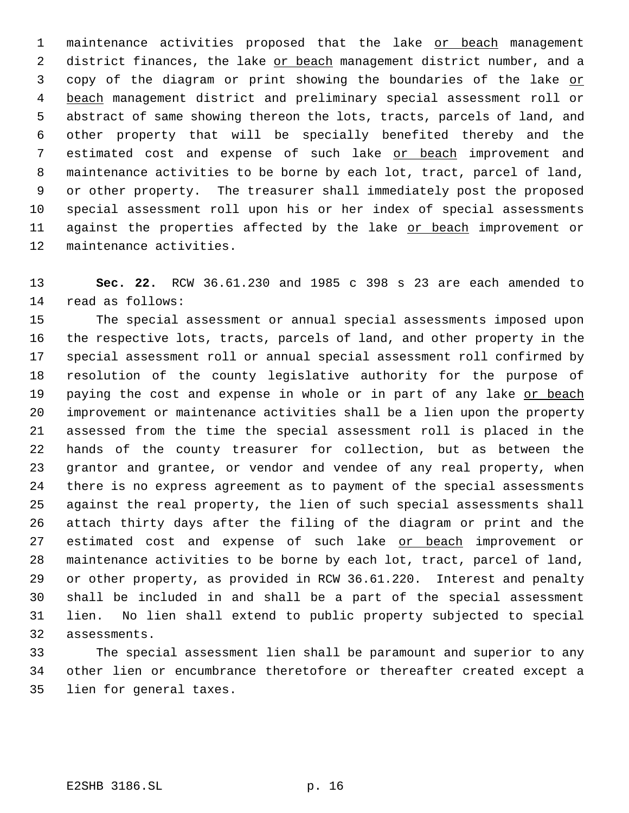1 maintenance activities proposed that the lake or beach management 2 district finances, the lake or beach management district number, and a 3 copy of the diagram or print showing the boundaries of the lake or 4 beach management district and preliminary special assessment roll or abstract of same showing thereon the lots, tracts, parcels of land, and other property that will be specially benefited thereby and the 7 estimated cost and expense of such lake or beach improvement and maintenance activities to be borne by each lot, tract, parcel of land, or other property. The treasurer shall immediately post the proposed special assessment roll upon his or her index of special assessments 11 against the properties affected by the lake or beach improvement or maintenance activities.

 **Sec. 22.** RCW 36.61.230 and 1985 c 398 s 23 are each amended to read as follows:

 The special assessment or annual special assessments imposed upon the respective lots, tracts, parcels of land, and other property in the special assessment roll or annual special assessment roll confirmed by resolution of the county legislative authority for the purpose of 19 paying the cost and expense in whole or in part of any lake or beach improvement or maintenance activities shall be a lien upon the property assessed from the time the special assessment roll is placed in the hands of the county treasurer for collection, but as between the grantor and grantee, or vendor and vendee of any real property, when there is no express agreement as to payment of the special assessments against the real property, the lien of such special assessments shall attach thirty days after the filing of the diagram or print and the 27 estimated cost and expense of such lake or beach improvement or maintenance activities to be borne by each lot, tract, parcel of land, or other property, as provided in RCW 36.61.220. Interest and penalty shall be included in and shall be a part of the special assessment lien. No lien shall extend to public property subjected to special assessments.

 The special assessment lien shall be paramount and superior to any other lien or encumbrance theretofore or thereafter created except a lien for general taxes.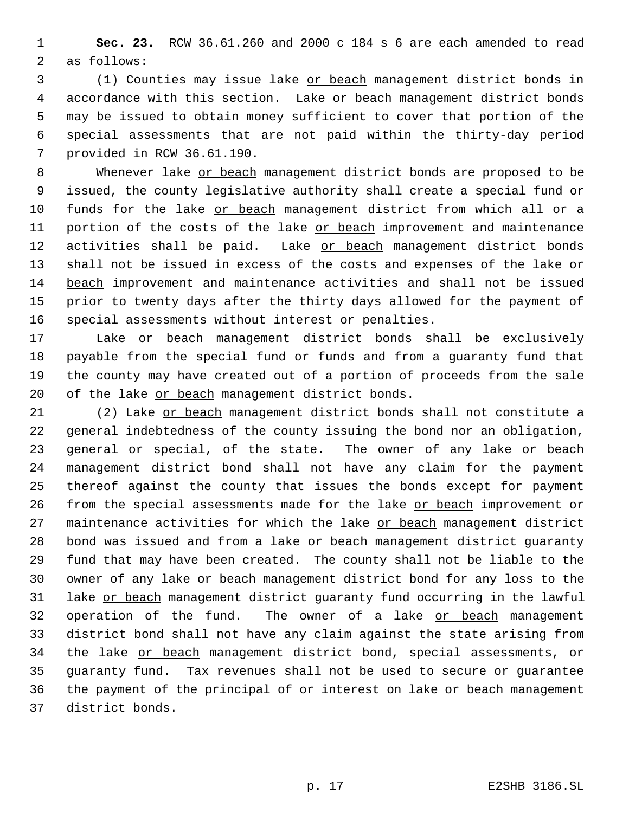**Sec. 23.** RCW 36.61.260 and 2000 c 184 s 6 are each amended to read as follows:

 (1) Counties may issue lake or beach management district bonds in accordance with this section. Lake or beach management district bonds may be issued to obtain money sufficient to cover that portion of the special assessments that are not paid within the thirty-day period provided in RCW 36.61.190.

 Whenever lake or beach management district bonds are proposed to be issued, the county legislative authority shall create a special fund or funds for the lake or beach management district from which all or a 11 portion of the costs of the lake or beach improvement and maintenance 12 activities shall be paid. Lake or beach management district bonds 13 shall not be issued in excess of the costs and expenses of the lake or beach improvement and maintenance activities and shall not be issued prior to twenty days after the thirty days allowed for the payment of special assessments without interest or penalties.

17 Lake or beach management district bonds shall be exclusively payable from the special fund or funds and from a guaranty fund that the county may have created out of a portion of proceeds from the sale 20 of the lake or beach management district bonds.

 (2) Lake or beach management district bonds shall not constitute a general indebtedness of the county issuing the bond nor an obligation, 23 general or special, of the state. The owner of any lake or beach management district bond shall not have any claim for the payment thereof against the county that issues the bonds except for payment 26 from the special assessments made for the lake or beach improvement or 27 maintenance activities for which the lake or beach management district 28 bond was issued and from a lake or beach management district guaranty fund that may have been created. The county shall not be liable to the 30 owner of any lake or beach management district bond for any loss to the 31 lake or beach management district guaranty fund occurring in the lawful operation of the fund. The owner of a lake or beach management district bond shall not have any claim against the state arising from 34 the lake or beach management district bond, special assessments, or guaranty fund. Tax revenues shall not be used to secure or guarantee the payment of the principal of or interest on lake or beach management district bonds.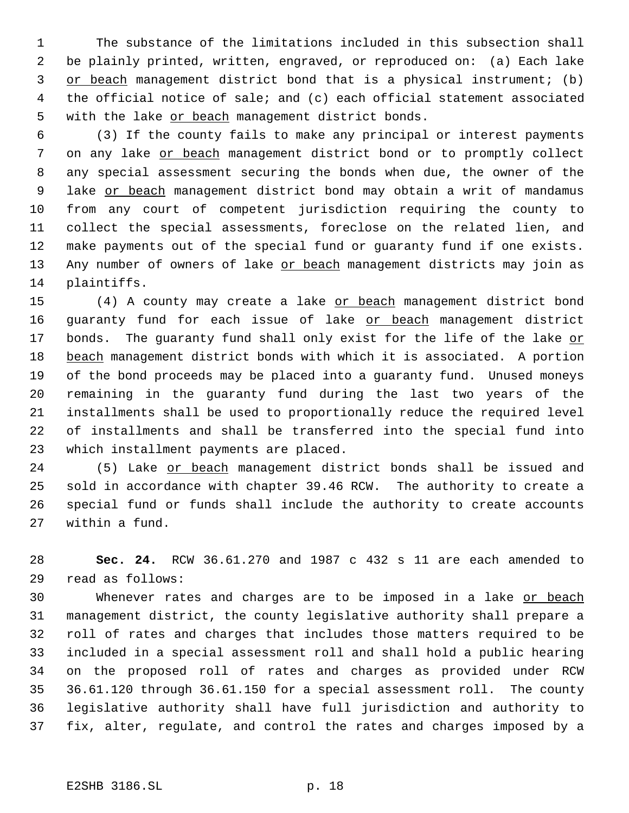The substance of the limitations included in this subsection shall be plainly printed, written, engraved, or reproduced on: (a) Each lake or beach management district bond that is a physical instrument; (b) the official notice of sale; and (c) each official statement associated 5 with the lake or beach management district bonds.

 (3) If the county fails to make any principal or interest payments 7 on any lake or beach management district bond or to promptly collect any special assessment securing the bonds when due, the owner of the 9 lake or beach management district bond may obtain a writ of mandamus from any court of competent jurisdiction requiring the county to collect the special assessments, foreclose on the related lien, and make payments out of the special fund or guaranty fund if one exists. 13 Any number of owners of lake or beach management districts may join as plaintiffs.

15 (4) A county may create a lake or beach management district bond 16 guaranty fund for each issue of lake or beach management district 17 bonds. The guaranty fund shall only exist for the life of the lake or beach management district bonds with which it is associated. A portion of the bond proceeds may be placed into a guaranty fund. Unused moneys remaining in the guaranty fund during the last two years of the installments shall be used to proportionally reduce the required level of installments and shall be transferred into the special fund into which installment payments are placed.

 (5) Lake or beach management district bonds shall be issued and sold in accordance with chapter 39.46 RCW. The authority to create a special fund or funds shall include the authority to create accounts within a fund.

 **Sec. 24.** RCW 36.61.270 and 1987 c 432 s 11 are each amended to read as follows:

30 Whenever rates and charges are to be imposed in a lake or beach management district, the county legislative authority shall prepare a roll of rates and charges that includes those matters required to be included in a special assessment roll and shall hold a public hearing on the proposed roll of rates and charges as provided under RCW 36.61.120 through 36.61.150 for a special assessment roll. The county legislative authority shall have full jurisdiction and authority to fix, alter, regulate, and control the rates and charges imposed by a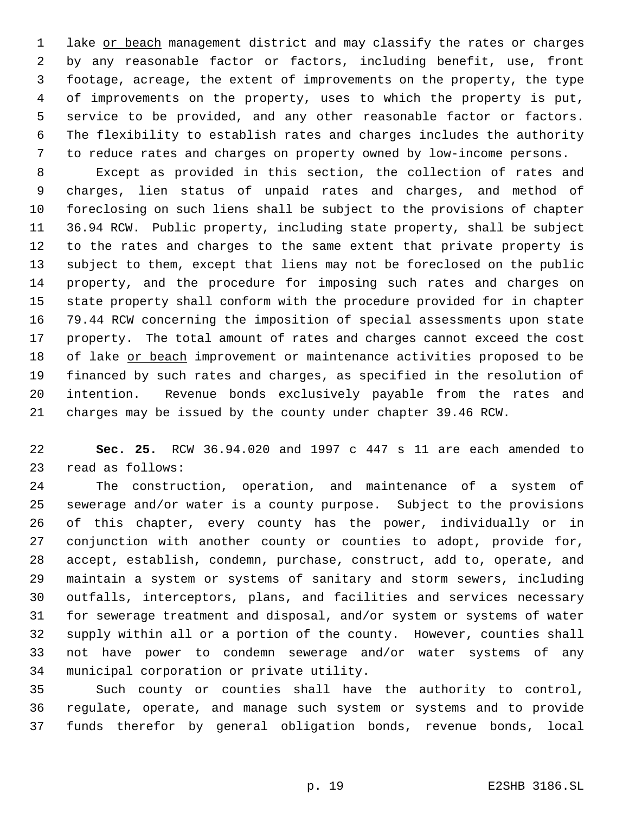1 lake or beach management district and may classify the rates or charges by any reasonable factor or factors, including benefit, use, front footage, acreage, the extent of improvements on the property, the type of improvements on the property, uses to which the property is put, service to be provided, and any other reasonable factor or factors. The flexibility to establish rates and charges includes the authority to reduce rates and charges on property owned by low-income persons.

 Except as provided in this section, the collection of rates and charges, lien status of unpaid rates and charges, and method of foreclosing on such liens shall be subject to the provisions of chapter 36.94 RCW. Public property, including state property, shall be subject to the rates and charges to the same extent that private property is subject to them, except that liens may not be foreclosed on the public property, and the procedure for imposing such rates and charges on state property shall conform with the procedure provided for in chapter 79.44 RCW concerning the imposition of special assessments upon state property. The total amount of rates and charges cannot exceed the cost of lake or beach improvement or maintenance activities proposed to be financed by such rates and charges, as specified in the resolution of intention. Revenue bonds exclusively payable from the rates and charges may be issued by the county under chapter 39.46 RCW.

 **Sec. 25.** RCW 36.94.020 and 1997 c 447 s 11 are each amended to read as follows:

 The construction, operation, and maintenance of a system of sewerage and/or water is a county purpose. Subject to the provisions of this chapter, every county has the power, individually or in conjunction with another county or counties to adopt, provide for, accept, establish, condemn, purchase, construct, add to, operate, and maintain a system or systems of sanitary and storm sewers, including outfalls, interceptors, plans, and facilities and services necessary for sewerage treatment and disposal, and/or system or systems of water supply within all or a portion of the county. However, counties shall not have power to condemn sewerage and/or water systems of any municipal corporation or private utility.

 Such county or counties shall have the authority to control, regulate, operate, and manage such system or systems and to provide funds therefor by general obligation bonds, revenue bonds, local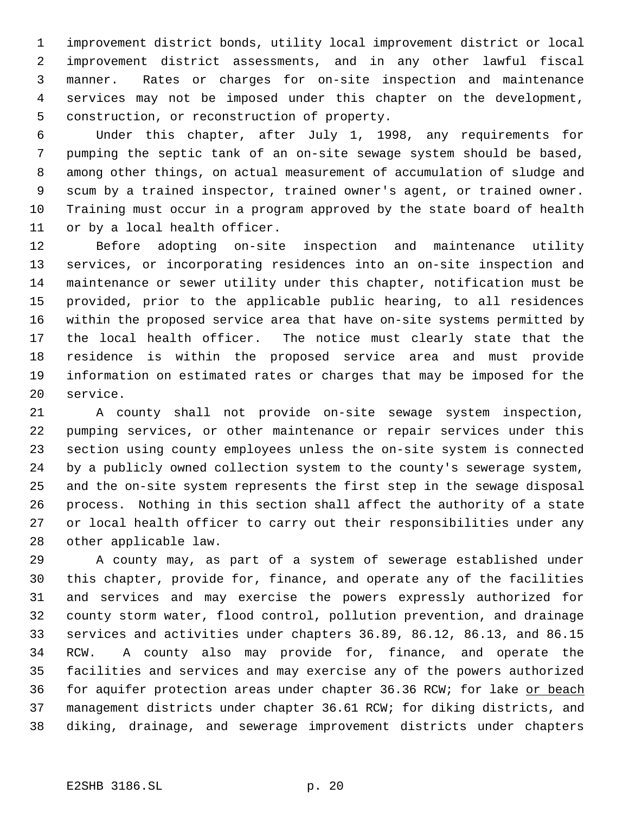improvement district bonds, utility local improvement district or local improvement district assessments, and in any other lawful fiscal manner. Rates or charges for on-site inspection and maintenance services may not be imposed under this chapter on the development, construction, or reconstruction of property.

 Under this chapter, after July 1, 1998, any requirements for pumping the septic tank of an on-site sewage system should be based, among other things, on actual measurement of accumulation of sludge and scum by a trained inspector, trained owner's agent, or trained owner. Training must occur in a program approved by the state board of health or by a local health officer.

 Before adopting on-site inspection and maintenance utility services, or incorporating residences into an on-site inspection and maintenance or sewer utility under this chapter, notification must be provided, prior to the applicable public hearing, to all residences within the proposed service area that have on-site systems permitted by the local health officer. The notice must clearly state that the residence is within the proposed service area and must provide information on estimated rates or charges that may be imposed for the service.

 A county shall not provide on-site sewage system inspection, pumping services, or other maintenance or repair services under this section using county employees unless the on-site system is connected by a publicly owned collection system to the county's sewerage system, and the on-site system represents the first step in the sewage disposal process. Nothing in this section shall affect the authority of a state or local health officer to carry out their responsibilities under any other applicable law.

 A county may, as part of a system of sewerage established under this chapter, provide for, finance, and operate any of the facilities and services and may exercise the powers expressly authorized for county storm water, flood control, pollution prevention, and drainage services and activities under chapters 36.89, 86.12, 86.13, and 86.15 RCW. A county also may provide for, finance, and operate the facilities and services and may exercise any of the powers authorized 36 for aquifer protection areas under chapter 36.36 RCW; for lake or beach management districts under chapter 36.61 RCW; for diking districts, and diking, drainage, and sewerage improvement districts under chapters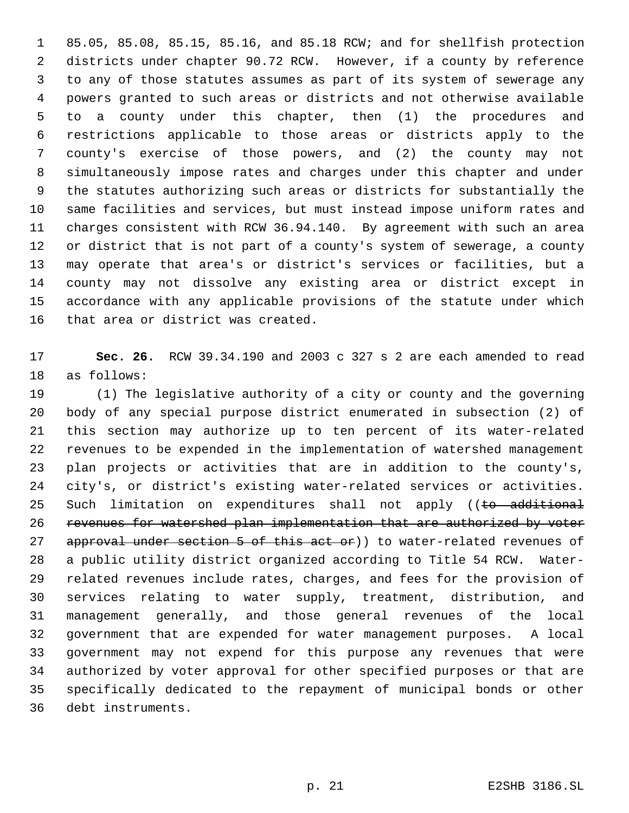85.05, 85.08, 85.15, 85.16, and 85.18 RCW; and for shellfish protection districts under chapter 90.72 RCW. However, if a county by reference to any of those statutes assumes as part of its system of sewerage any powers granted to such areas or districts and not otherwise available to a county under this chapter, then (1) the procedures and restrictions applicable to those areas or districts apply to the county's exercise of those powers, and (2) the county may not simultaneously impose rates and charges under this chapter and under the statutes authorizing such areas or districts for substantially the same facilities and services, but must instead impose uniform rates and charges consistent with RCW 36.94.140. By agreement with such an area or district that is not part of a county's system of sewerage, a county may operate that area's or district's services or facilities, but a county may not dissolve any existing area or district except in accordance with any applicable provisions of the statute under which that area or district was created.

 **Sec. 26.** RCW 39.34.190 and 2003 c 327 s 2 are each amended to read as follows:

 (1) The legislative authority of a city or county and the governing body of any special purpose district enumerated in subsection (2) of this section may authorize up to ten percent of its water-related revenues to be expended in the implementation of watershed management plan projects or activities that are in addition to the county's, city's, or district's existing water-related services or activities. 25 Such limitation on expenditures shall not apply ((to additional 26 revenues for watershed plan implementation that are authorized by voter 27 approval under section 5 of this act or)) to water-related revenues of a public utility district organized according to Title 54 RCW. Water- related revenues include rates, charges, and fees for the provision of services relating to water supply, treatment, distribution, and management generally, and those general revenues of the local government that are expended for water management purposes. A local government may not expend for this purpose any revenues that were authorized by voter approval for other specified purposes or that are specifically dedicated to the repayment of municipal bonds or other debt instruments.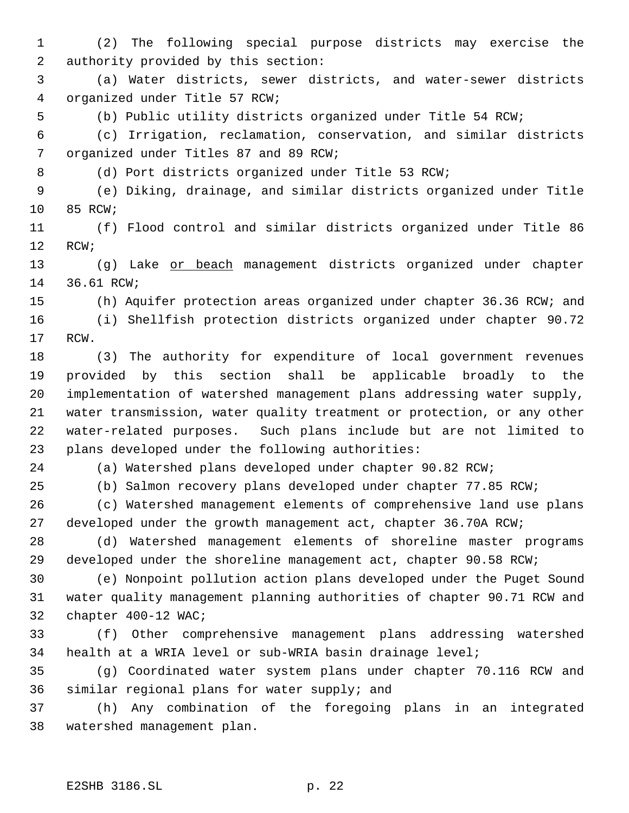(2) The following special purpose districts may exercise the authority provided by this section:

 (a) Water districts, sewer districts, and water-sewer districts organized under Title 57 RCW;

(b) Public utility districts organized under Title 54 RCW;

 (c) Irrigation, reclamation, conservation, and similar districts organized under Titles 87 and 89 RCW;

(d) Port districts organized under Title 53 RCW;

 (e) Diking, drainage, and similar districts organized under Title 85 RCW;

 (f) Flood control and similar districts organized under Title 86 RCW;

13 (g) Lake or beach management districts organized under chapter 36.61 RCW;

(h) Aquifer protection areas organized under chapter 36.36 RCW; and

 (i) Shellfish protection districts organized under chapter 90.72 RCW.

 (3) The authority for expenditure of local government revenues provided by this section shall be applicable broadly to the implementation of watershed management plans addressing water supply, water transmission, water quality treatment or protection, or any other water-related purposes. Such plans include but are not limited to plans developed under the following authorities:

(a) Watershed plans developed under chapter 90.82 RCW;

(b) Salmon recovery plans developed under chapter 77.85 RCW;

 (c) Watershed management elements of comprehensive land use plans developed under the growth management act, chapter 36.70A RCW;

 (d) Watershed management elements of shoreline master programs developed under the shoreline management act, chapter 90.58 RCW;

 (e) Nonpoint pollution action plans developed under the Puget Sound water quality management planning authorities of chapter 90.71 RCW and chapter 400-12 WAC;

 (f) Other comprehensive management plans addressing watershed health at a WRIA level or sub-WRIA basin drainage level;

 (g) Coordinated water system plans under chapter 70.116 RCW and similar regional plans for water supply; and

 (h) Any combination of the foregoing plans in an integrated watershed management plan.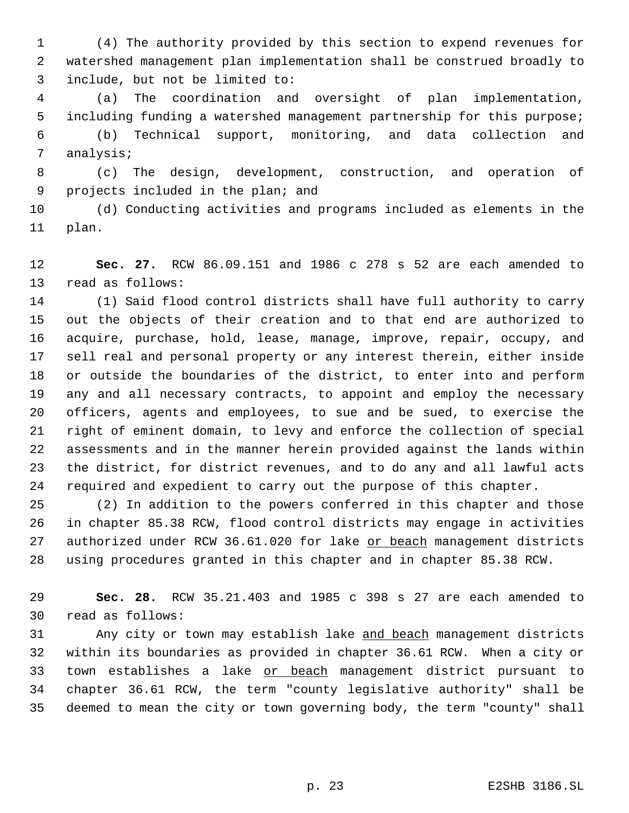(4) The authority provided by this section to expend revenues for watershed management plan implementation shall be construed broadly to include, but not be limited to:

 (a) The coordination and oversight of plan implementation, including funding a watershed management partnership for this purpose; (b) Technical support, monitoring, and data collection and

analysis;

 (c) The design, development, construction, and operation of projects included in the plan; and

 (d) Conducting activities and programs included as elements in the plan.

 **Sec. 27.** RCW 86.09.151 and 1986 c 278 s 52 are each amended to read as follows:

 (1) Said flood control districts shall have full authority to carry out the objects of their creation and to that end are authorized to acquire, purchase, hold, lease, manage, improve, repair, occupy, and sell real and personal property or any interest therein, either inside or outside the boundaries of the district, to enter into and perform any and all necessary contracts, to appoint and employ the necessary officers, agents and employees, to sue and be sued, to exercise the right of eminent domain, to levy and enforce the collection of special assessments and in the manner herein provided against the lands within the district, for district revenues, and to do any and all lawful acts required and expedient to carry out the purpose of this chapter.

 (2) In addition to the powers conferred in this chapter and those in chapter 85.38 RCW, flood control districts may engage in activities 27 authorized under RCW 36.61.020 for lake or beach management districts using procedures granted in this chapter and in chapter 85.38 RCW.

 **Sec. 28.** RCW 35.21.403 and 1985 c 398 s 27 are each amended to read as follows:

31 Any city or town may establish lake and beach management districts within its boundaries as provided in chapter 36.61 RCW. When a city or 33 town establishes a lake or beach management district pursuant to chapter 36.61 RCW, the term "county legislative authority" shall be deemed to mean the city or town governing body, the term "county" shall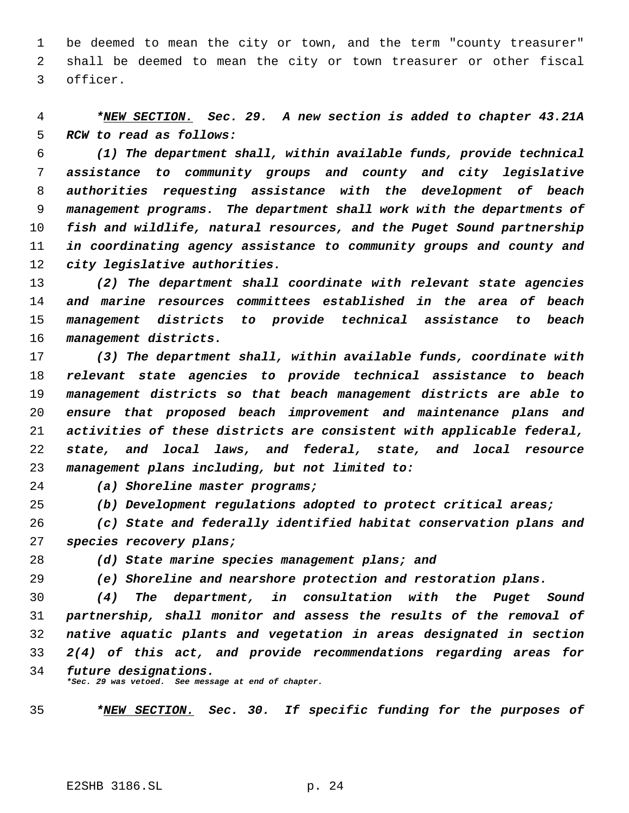be deemed to mean the city or town, and the term "county treasurer" shall be deemed to mean the city or town treasurer or other fiscal officer.

 *\*NEW SECTION. Sec. 29. A new section is added to chapter 43.21A RCW to read as follows:*

 *(1) The department shall, within available funds, provide technical assistance to community groups and county and city legislative authorities requesting assistance with the development of beach management programs. The department shall work with the departments of fish and wildlife, natural resources, and the Puget Sound partnership in coordinating agency assistance to community groups and county and city legislative authorities.*

 *(2) The department shall coordinate with relevant state agencies and marine resources committees established in the area of beach management districts to provide technical assistance to beach management districts.*

 *(3) The department shall, within available funds, coordinate with relevant state agencies to provide technical assistance to beach management districts so that beach management districts are able to ensure that proposed beach improvement and maintenance plans and activities of these districts are consistent with applicable federal, state, and local laws, and federal, state, and local resource management plans including, but not limited to:*

*(a) Shoreline master programs;*

*(b) Development regulations adopted to protect critical areas;*

 *(c) State and federally identified habitat conservation plans and species recovery plans;*

*(d) State marine species management plans; and*

*(e) Shoreline and nearshore protection and restoration plans.*

 *(4) The department, in consultation with the Puget Sound partnership, shall monitor and assess the results of the removal of native aquatic plants and vegetation in areas designated in section 2(4) of this act, and provide recommendations regarding areas for future designations.*

*\*Sec. 29 was vetoed. See message at end of chapter.*

*\*NEW SECTION. Sec. 30. If specific funding for the purposes of*